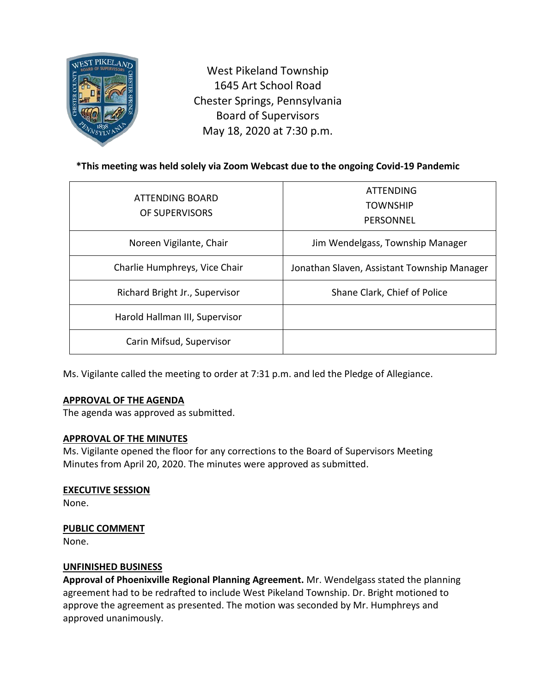

West Pikeland Township 1645 Art School Road Chester Springs, Pennsylvania Board of Supervisors May 18, 2020 at 7:30 p.m.

# **\*This meeting was held solely via Zoom Webcast due to the ongoing Covid-19 Pandemic**

| ATTENDING BOARD<br>OF SUPERVISORS | <b>ATTENDING</b><br><b>TOWNSHIP</b><br>PERSONNEL |
|-----------------------------------|--------------------------------------------------|
| Noreen Vigilante, Chair           | Jim Wendelgass, Township Manager                 |
| Charlie Humphreys, Vice Chair     | Jonathan Slaven, Assistant Township Manager      |
| Richard Bright Jr., Supervisor    | Shane Clark, Chief of Police                     |
| Harold Hallman III, Supervisor    |                                                  |
| Carin Mifsud, Supervisor          |                                                  |

Ms. Vigilante called the meeting to order at 7:31 p.m. and led the Pledge of Allegiance.

## **APPROVAL OF THE AGENDA**

The agenda was approved as submitted.

#### **APPROVAL OF THE MINUTES**

Ms. Vigilante opened the floor for any corrections to the Board of Supervisors Meeting Minutes from April 20, 2020. The minutes were approved as submitted.

# **EXECUTIVE SESSION**

None.

## **PUBLIC COMMENT**

None.

## **UNFINISHED BUSINESS**

**Approval of Phoenixville Regional Planning Agreement.** Mr. Wendelgass stated the planning agreement had to be redrafted to include West Pikeland Township. Dr. Bright motioned to approve the agreement as presented. The motion was seconded by Mr. Humphreys and approved unanimously.